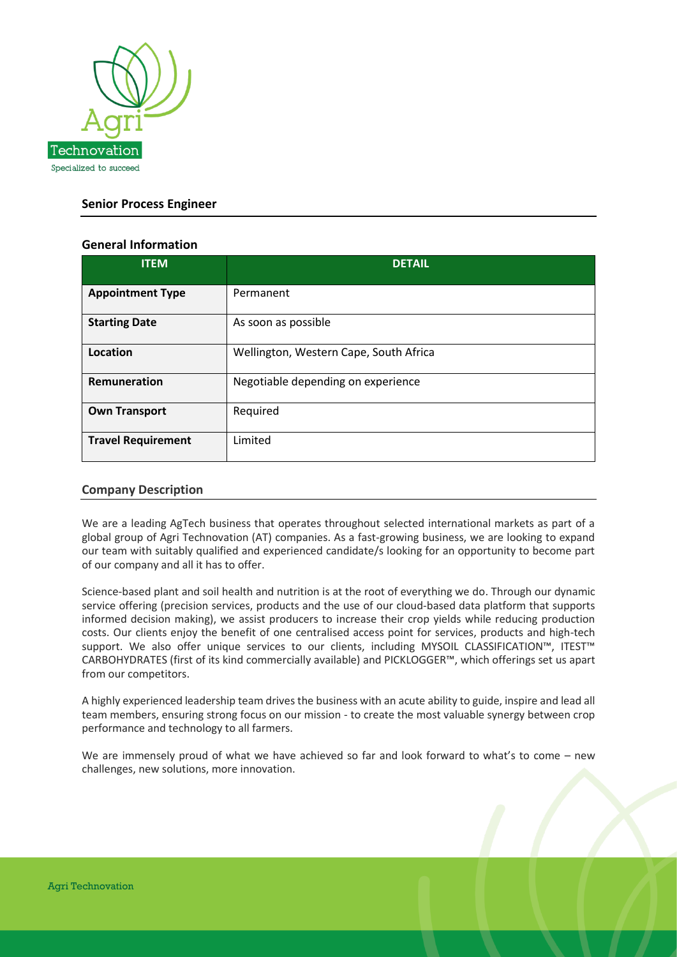

## **Senior Process Engineer**

## **General Information**

| <b>ITEM</b>               | <b>DETAIL</b>                          |
|---------------------------|----------------------------------------|
| <b>Appointment Type</b>   | Permanent                              |
| <b>Starting Date</b>      | As soon as possible                    |
| Location                  | Wellington, Western Cape, South Africa |
| Remuneration              | Negotiable depending on experience     |
| <b>Own Transport</b>      | Required                               |
| <b>Travel Requirement</b> | Limited                                |

#### **Company Description**

We are a leading AgTech business that operates throughout selected international markets as part of a global group of Agri Technovation (AT) companies. As a fast-growing business, we are looking to expand our team with suitably qualified and experienced candidate/s looking for an opportunity to become part of our company and all it has to offer.

Science-based plant and soil health and nutrition is at the root of everything we do. Through our dynamic service offering (precision services, products and the use of our cloud-based data platform that supports informed decision making), we assist producers to increase their crop yields while reducing production costs. Our clients enjoy the benefit of one centralised access point for services, products and high-tech support. We also offer unique services to our clients, including MYSOIL CLASSIFICATION™, ITEST™ CARBOHYDRATES (first of its kind commercially available) and PICKLOGGER™, which offerings set us apart from our competitors.

A highly experienced leadership team drives the business with an acute ability to guide, inspire and lead all team members, ensuring strong focus on our mission - to create the most valuable synergy between crop performance and technology to all farmers.

We are immensely proud of what we have achieved so far and look forward to what's to come – new challenges, new solutions, more innovation.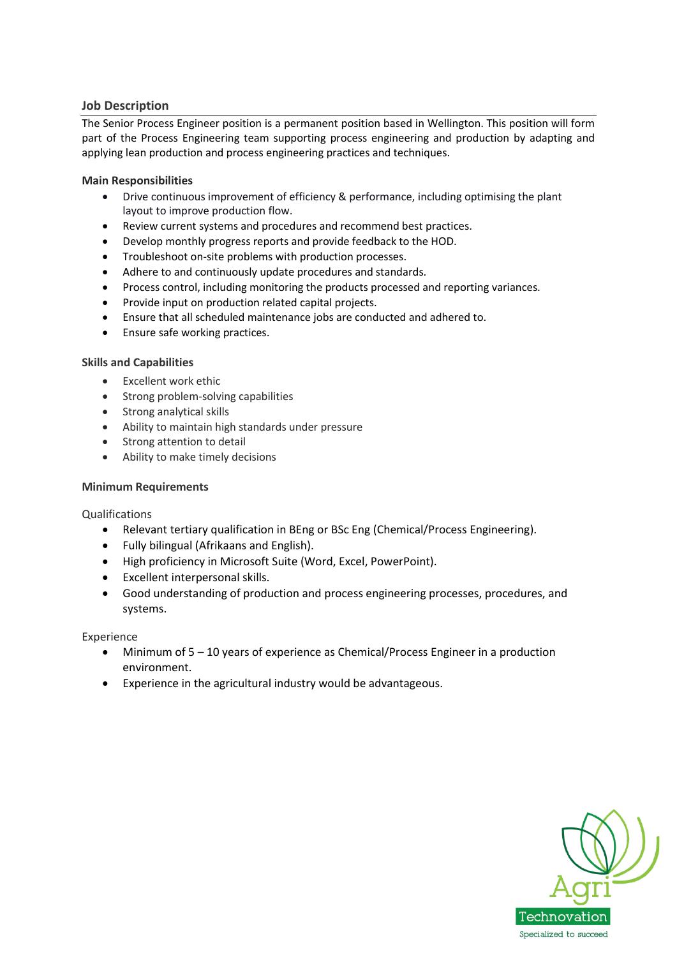## **Job Description**

The Senior Process Engineer position is a permanent position based in Wellington. This position will form part of the Process Engineering team supporting process engineering and production by adapting and applying lean production and process engineering practices and techniques.

#### **Main Responsibilities**

- Drive continuous improvement of efficiency & performance, including optimising the plant layout to improve production flow.
- Review current systems and procedures and recommend best practices.
- Develop monthly progress reports and provide feedback to the HOD.
- Troubleshoot on-site problems with production processes.
- Adhere to and continuously update procedures and standards.
- Process control, including monitoring the products processed and reporting variances.
- Provide input on production related capital projects.
- Ensure that all scheduled maintenance jobs are conducted and adhered to.
- Ensure safe working practices.

#### **Skills and Capabilities**

- Excellent work ethic
- Strong problem-solving capabilities
- Strong analytical skills
- Ability to maintain high standards under pressure
- Strong attention to detail
- Ability to make timely decisions

#### **Minimum Requirements**

#### Qualifications

- Relevant tertiary qualification in BEng or BSc Eng (Chemical/Process Engineering).
- Fully bilingual (Afrikaans and English).
- High proficiency in Microsoft Suite (Word, Excel, PowerPoint).
- Excellent interpersonal skills.
- Good understanding of production and process engineering processes, procedures, and systems.

Experience

- Minimum of 5 10 years of experience as Chemical/Process Engineer in a production environment.
- Experience in the agricultural industry would be advantageous.